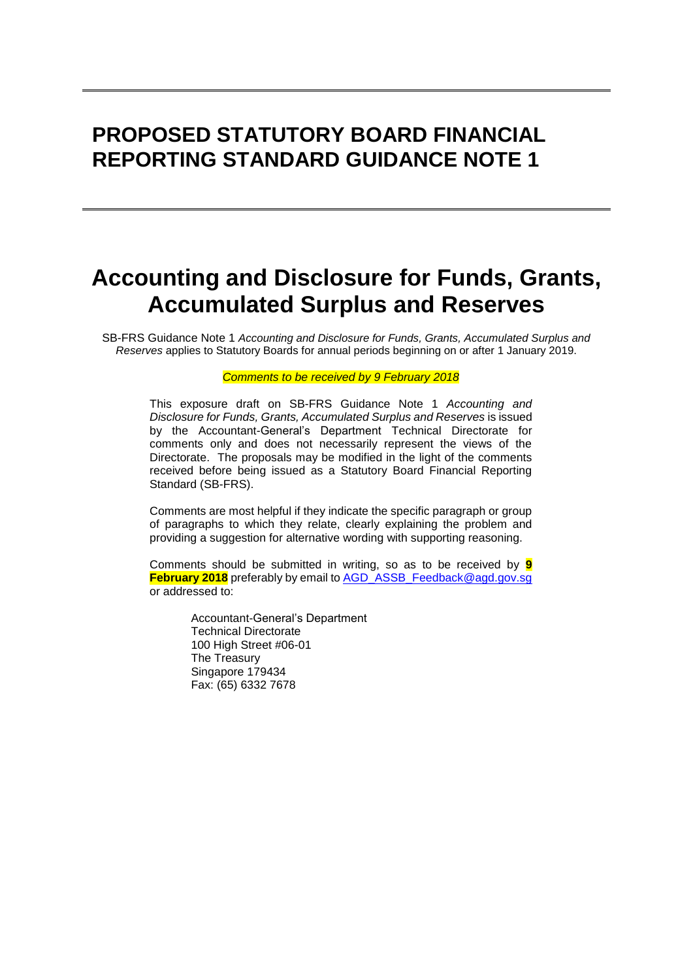# **PROPOSED STATUTORY BOARD FINANCIAL REPORTING STANDARD GUIDANCE NOTE 1**

# **Accounting and Disclosure for Funds, Grants, Accumulated Surplus and Reserves**

SB-FRS Guidance Note 1 *Accounting and Disclosure for Funds, Grants, Accumulated Surplus and Reserves* applies to Statutory Boards for annual periods beginning on or after 1 January 2019.

#### *Comments to be received by 9 February 2018*

This exposure draft on SB-FRS Guidance Note 1 *Accounting and Disclosure for Funds, Grants, Accumulated Surplus and Reserves* is issued by the Accountant-General's Department Technical Directorate for comments only and does not necessarily represent the views of the Directorate. The proposals may be modified in the light of the comments received before being issued as a Statutory Board Financial Reporting Standard (SB-FRS).

Comments are most helpful if they indicate the specific paragraph or group of paragraphs to which they relate, clearly explaining the problem and providing a suggestion for alternative wording with supporting reasoning.

Comments should be submitted in writing, so as to be received by **9 February 2018** preferably by email to [AGD\\_ASSB\\_Feedback@agd.gov.sg](mailto:AGD_ASSB_Feedback@agd.gov.sg) or addressed to:

> Accountant-General's Department Technical Directorate 100 High Street #06-01 The Treasury Singapore 179434 Fax: (65) 6332 7678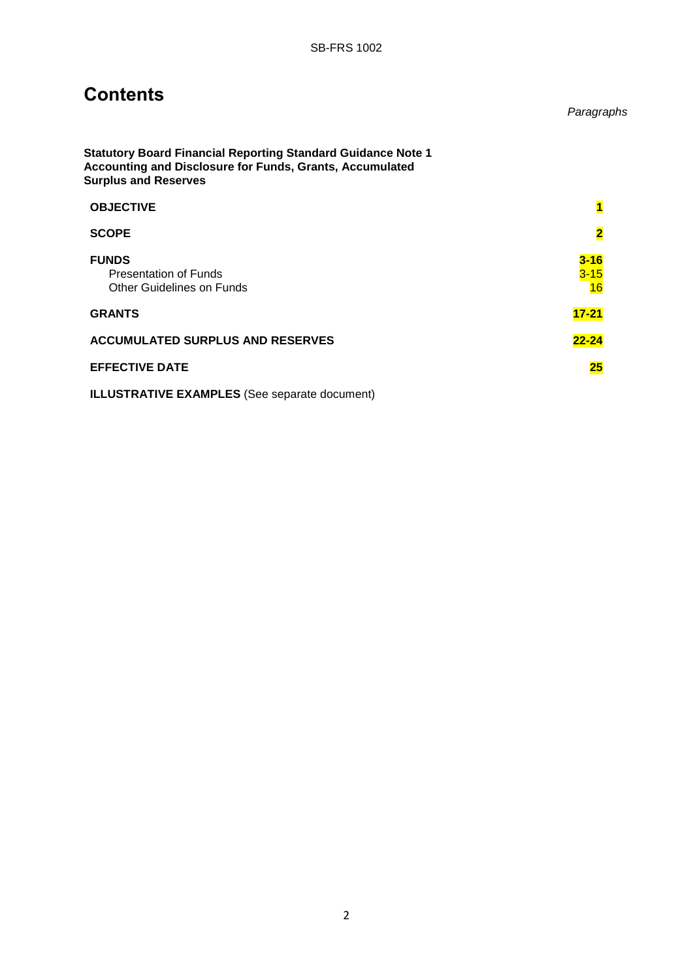## **Contents**

**Statutory Board Financial Reporting Standard Guidance Note 1 Accounting and Disclosure for Funds, Grants, Accumulated Surplus and Reserves**

| <b>OBJECTIVE</b>                                                          | $\overline{\mathbf{1}}$    |
|---------------------------------------------------------------------------|----------------------------|
| <b>SCOPE</b>                                                              | $\overline{\mathbf{2}}$    |
| <b>FUNDS</b><br><b>Presentation of Funds</b><br>Other Guidelines on Funds | $3 - 16$<br>$3 - 15$<br>16 |
| <b>GRANTS</b>                                                             | $17 - 21$                  |
| <b>ACCUMULATED SURPLUS AND RESERVES</b>                                   | $22 - 24$                  |
| <b>EFFECTIVE DATE</b>                                                     | 25                         |

**ILLUSTRATIVE EXAMPLES** (See separate document)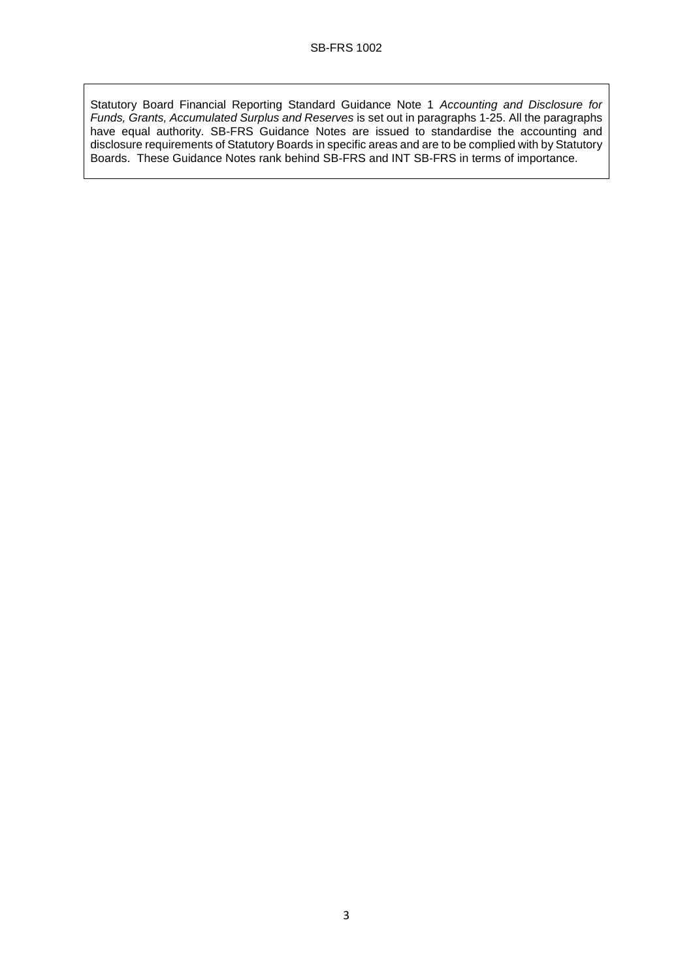Statutory Board Financial Reporting Standard Guidance Note 1 *Accounting and Disclosure for Funds, Grants, Accumulated Surplus and Reserves* is set out in paragraphs 1-25. All the paragraphs have equal authority. SB-FRS Guidance Notes are issued to standardise the accounting and disclosure requirements of Statutory Boards in specific areas and are to be complied with by Statutory Boards. These Guidance Notes rank behind SB-FRS and INT SB-FRS in terms of importance.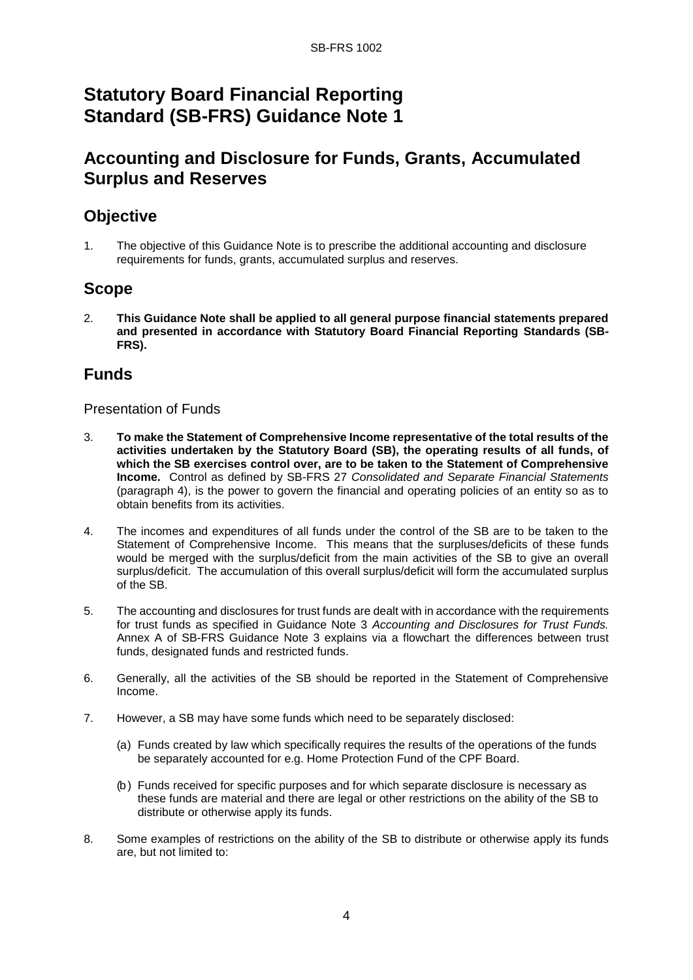## **Statutory Board Financial Reporting Standard (SB-FRS) Guidance Note 1**

## **Accounting and Disclosure for Funds, Grants, Accumulated Surplus and Reserves**

## **Objective**

1. The objective of this Guidance Note is to prescribe the additional accounting and disclosure requirements for funds, grants, accumulated surplus and reserves.

### **Scope**

2. **This Guidance Note shall be applied to all general purpose financial statements prepared and presented in accordance with Statutory Board Financial Reporting Standards (SB-FRS).**

#### **Funds**

#### Presentation of Funds

- 3. **To make the Statement of Comprehensive Income representative of the total results of the activities undertaken by the Statutory Board (SB), the operating results of all funds, of which the SB exercises control over, are to be taken to the Statement of Comprehensive Income.** Control as defined by SB-FRS 27 *Consolidated and Separate Financial Statements* (paragraph 4), is the power to govern the financial and operating policies of an entity so as to obtain benefits from its activities.
- 4. The incomes and expenditures of all funds under the control of the SB are to be taken to the Statement of Comprehensive Income. This means that the surpluses/deficits of these funds would be merged with the surplus/deficit from the main activities of the SB to give an overall surplus/deficit. The accumulation of this overall surplus/deficit will form the accumulated surplus of the SB.
- 5. The accounting and disclosures for trust funds are dealt with in accordance with the requirements for trust funds as specified in Guidance Note 3 *Accounting and Disclosures for Trust Funds.* Annex A of SB-FRS Guidance Note 3 explains via a flowchart the differences between trust funds, designated funds and restricted funds.
- 6. Generally, all the activities of the SB should be reported in the Statement of Comprehensive Income.
- 7. However, a SB may have some funds which need to be separately disclosed:
	- (a) Funds created by law which specifically requires the results of the operations of the funds be separately accounted for e.g. Home Protection Fund of the CPF Board.
	- (b ) Funds received for specific purposes and for which separate disclosure is necessary as these funds are material and there are legal or other restrictions on the ability of the SB to distribute or otherwise apply its funds.
- 8. Some examples of restrictions on the ability of the SB to distribute or otherwise apply its funds are, but not limited to: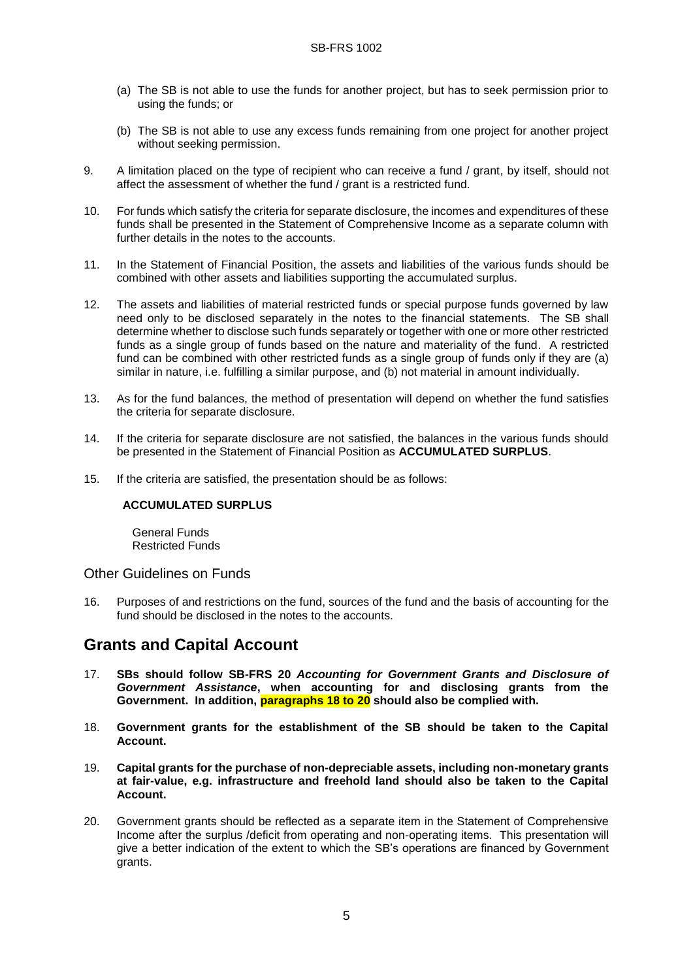- (a) The SB is not able to use the funds for another project, but has to seek permission prior to using the funds; or
- (b) The SB is not able to use any excess funds remaining from one project for another project without seeking permission.
- 9. A limitation placed on the type of recipient who can receive a fund / grant, by itself, should not affect the assessment of whether the fund / grant is a restricted fund.
- 10. For funds which satisfy the criteria for separate disclosure, the incomes and expenditures of these funds shall be presented in the Statement of Comprehensive Income as a separate column with further details in the notes to the accounts.
- 11. In the Statement of Financial Position, the assets and liabilities of the various funds should be combined with other assets and liabilities supporting the accumulated surplus.
- 12. The assets and liabilities of material restricted funds or special purpose funds governed by law need only to be disclosed separately in the notes to the financial statements. The SB shall determine whether to disclose such funds separately or together with one or more other restricted funds as a single group of funds based on the nature and materiality of the fund. A restricted fund can be combined with other restricted funds as a single group of funds only if they are (a) similar in nature, i.e. fulfilling a similar purpose, and (b) not material in amount individually.
- 13. As for the fund balances, the method of presentation will depend on whether the fund satisfies the criteria for separate disclosure.
- 14. If the criteria for separate disclosure are not satisfied, the balances in the various funds should be presented in the Statement of Financial Position as **ACCUMULATED SURPLUS**.
- 15. If the criteria are satisfied, the presentation should be as follows:

#### **ACCUMULATED SURPLUS**

 General Funds Restricted Funds

Other Guidelines on Funds

16. Purposes of and restrictions on the fund, sources of the fund and the basis of accounting for the fund should be disclosed in the notes to the accounts.

### **Grants and Capital Account**

- 17. **SBs should follow SB-FRS 20** *Accounting for Government Grants and Disclosure of Government Assistance***, when accounting for and disclosing grants from the Government. In addition, paragraphs 18 to 20 should also be complied with.**
- 18. **Government grants for the establishment of the SB should be taken to the Capital Account.**
- 19. **Capital grants for the purchase of non-depreciable assets, including non-monetary grants at fair-value, e.g. infrastructure and freehold land should also be taken to the Capital Account.**
- 20. Government grants should be reflected as a separate item in the Statement of Comprehensive Income after the surplus /deficit from operating and non-operating items. This presentation will give a better indication of the extent to which the SB's operations are financed by Government grants.